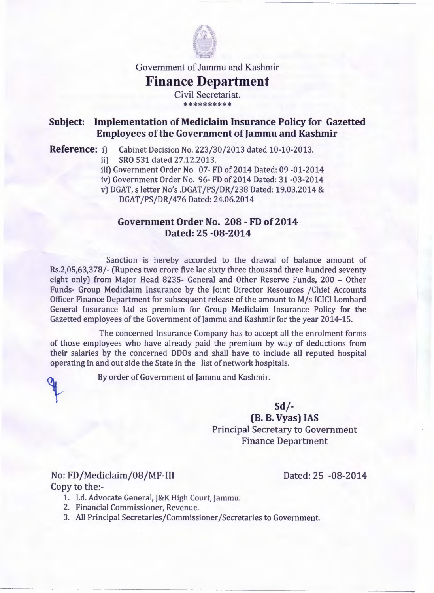

Government of Jammu and Kashmir

## **Finance Department**

Civil Secretariat. \*\*\*\*\*\*\*\*\*\*

## **Subject: Implementation of Mediclaim Insurance Policy for Gazetted Employees of the Government of Jammu and Kashmir**

**Reference:** i) Cabinet Decision No. 223/30/2013 dated 10-10-2013.

- ii) SRO 531 dated 27.12.2013.
- iii) Government Order No. 07- FD of 2014 Dated: 09 -01-2014
- iv) Government Order No. 96- FD of 2014 Dated: 31 -03-2014
- v) DGAT, s letter No's .DGAT /PS/DR/238 Dated: 19.03.2014 &

DGAT /PS/DR/476 Dated: 24.06.2014

## **Government Order No. 208 - FD of 2014 Dated: 25 -08-2014**

Sanction is hereby accorded to the drawal of balance amount of Rs.2,05,63,378/- (Rupees two crore five lac sixty three thousand three hundred seventy eight only) from Major Head 8235- General and Other Reserve Funds, 200 - Other Funds- Group Mediclaim Insurance by the Joint Director Resources /Chief Accounts Officer Finance Department for subsequent release of the amount to M/s ICICI Lombard General Insurance Ltd as premium for Group Mediclaim Insurance Policy for the Gazetted employees of the Government of Jammu and Kashmir for the year 2014-15.

The concerned Insurance Company has to accept all the enrolment forms of those employees who have already paid the premium by way of deductions from their salaries by the concerned DDOs and shall have to include all reputed hospital operating in and out side the State in the list of network hospitals.

By order of Government of Jammu and Kashmir.

**Sd/-**

**(B. B. Vyas) IAS**  Principal Secretary to Government Finance Department

No: FD/Mediclaim/08/MF-111 Dated: 25 -08-2014 Copy to the:-

- 1. Ld. Advocate General, J&K High Court, Jammu.
- 2. Financial Commissioner, Revenue.
- 3. All Principal Secretaries/Commissioner /Secretaries to Government.